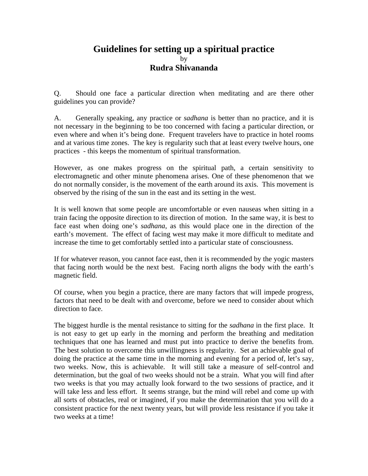## **Guidelines for setting up a spiritual practice**  by **Rudra Shivananda**

Q. Should one face a particular direction when meditating and are there other guidelines you can provide?

A. Generally speaking, any practice or *sadhana* is better than no practice, and it is not necessary in the beginning to be too concerned with facing a particular direction, or even where and when it's being done. Frequent travelers have to practice in hotel rooms and at various time zones. The key is regularity such that at least every twelve hours, one practices - this keeps the momentum of spiritual transformation.

However, as one makes progress on the spiritual path, a certain sensitivity to electromagnetic and other minute phenomena arises. One of these phenomenon that we do not normally consider, is the movement of the earth around its axis. This movement is observed by the rising of the sun in the east and its setting in the west.

It is well known that some people are uncomfortable or even nauseas when sitting in a train facing the opposite direction to its direction of motion. In the same way, it is best to face east when doing one's *sadhana*, as this would place one in the direction of the earth's movement. The effect of facing west may make it more difficult to meditate and increase the time to get comfortably settled into a particular state of consciousness.

If for whatever reason, you cannot face east, then it is recommended by the yogic masters that facing north would be the next best. Facing north aligns the body with the earth's magnetic field.

Of course, when you begin a practice, there are many factors that will impede progress, factors that need to be dealt with and overcome, before we need to consider about which direction to face.

The biggest hurdle is the mental resistance to sitting for the *sadhana* in the first place. It is not easy to get up early in the morning and perform the breathing and meditation techniques that one has learned and must put into practice to derive the benefits from. The best solution to overcome this unwillingness is regularity. Set an achievable goal of doing the practice at the same time in the morning and evening for a period of, let's say, two weeks. Now, this is achievable. It will still take a measure of self-control and determination, but the goal of two weeks should not be a strain. What you will find after two weeks is that you may actually look forward to the two sessions of practice, and it will take less and less effort. It seems strange, but the mind will rebel and come up with all sorts of obstacles, real or imagined, if you make the determination that you will do a consistent practice for the next twenty years, but will provide less resistance if you take it two weeks at a time!